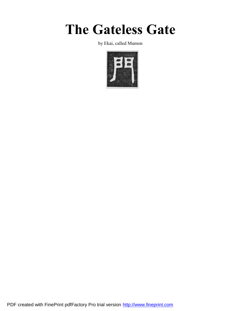# **The Gateless Gate**

#### by Ekai, called Mumon

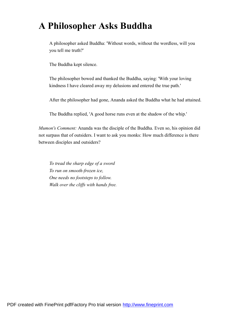#### **A Philosopher Asks Buddha**

A philosopher asked Buddha: 'Without words, without the wordless, will you you tell me truth?'

The Buddha kept silence.

The philosopher bowed and thanked the Buddha, saying: 'With your loving kindness I have cleared away my delusions and entered the true path.'

After the philosopher had gone, Ananda asked the Buddha what he had attained.

The Buddha replied, 'A good horse runs even at the shadow of the whip.'

*Mumon's Comment:* Ananda was the disciple of the Buddha. Even so, his opinion did not surpass that of outsiders. I want to ask you monks: How much difference is there between disciples and outsiders?

*To tread the sharp edge of a sword To run on smooth-frozen ice, One needs no footsteps to follow. Walk over the cliffs with hands free.*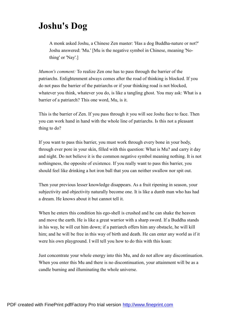#### **Joshu's Dog**

A monk asked Joshu, a Chinese Zen master: 'Has a dog Buddha-nature or not?' Joshu answered: 'Mu.' [Mu is the negative symbol in Chinese, meaning 'Nothing' or 'Nay'.]

*Mumon's comment:* To realize Zen one has to pass through the barrier of the patriarchs. Enlightenment always comes after the road of thinking is blocked. If you do not pass the barrier of the patriarchs or if your thinking road is not blocked, whatever you think, whatever you do, is like a tangling ghost. You may ask: What is a barrier of a patriarch? This one word, Mu, is it.

This is the barrier of Zen. If you pass through it you will see Joshu face to face. Then you can work hand in hand with the whole line of patriarchs. Is this not a pleasant thing to do?

If you want to pass this barrier, you must work through every bone in your body, through ever pore in your skin, filled with this question: What is Mu? and carry it day and night. Do not believe it is the common negative symbol meaning nothing. It is not nothingness, the opposite of existence. If you really want to pass this barrier, you should feel like drinking a hot iron ball that you can neither swallow nor spit out.

Then your previous lesser knowledge disappears. As a fruit ripening in season, your subjectivity and objectivity naturally become one. It is like a dumb man who has had a dream. He knows about it but cannot tell it.

When he enters this condition his ego-shell is crushed and he can shake the heaven and move the earth. He is like a great warrior with a sharp sword. If a Buddha stands in his way, he will cut him down; if a patriarch offers him any obstacle, he will kill him; and he will be free in this way of birth and death. He can enter any world as if it were his own playground. I will tell you how to do this with this koan:

Just concentrate your whole energy into this Mu, and do not allow any discontinuation. When you enter this Mu and there is no discontinuation, your attainment will be as a candle burning and illuminating the whole universe.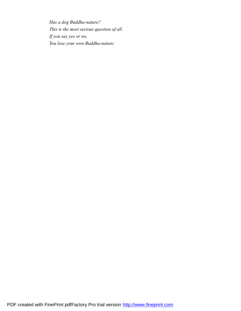*Has a dog Buddha-nature? This is the most serious question of all. If you say yes or no, You lose your own Buddha-nature.*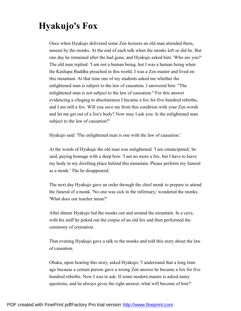## **Hyakujo's Fox**

Once when Hyakujo delivered some Zen lectures an old man attended them, unseen by the monks. At the end of each talk when the monks left so did he. But one day he remained after the had gone, and Hyakujo asked him: 'Who are you?' The old man replied: 'I am not a human being, but I was a human being when the Kashapa Buddha preached in this world. I was a Zen master and lived on this mountain. At that time one of my students asked me whether the enlightened man is subject to the law of causation. I answered him: "The enlightened man is not subject to the law of causation." For this answer evidencing a clinging to absoluteness I became a fox for five hundred rebirths, and I am still a fox. Will you save me from this condition with your Zen words and let me get out of a fox's body? Now may I ask you: Is the enlightened man subject to the law of causation?'

Hyakujo said: 'The enlightened man is one with the law of causation.'

At the words of Hyakujo the old man was enlightened. 'I am emancipated,' he said, paying homage with a deep bow. 'I am no more a fox, but I have to leave my body in my dwelling place behind this mountain. Please perform my funeral as a monk.' The he disappeared.

The next day Hyakujo gave an order through the chief monk to prepare to attend the funeral of a monk. 'No one was sick in the infirmary,' wondered the monks. 'What does our teacher mean?'

After dinner Hyakujo led the monks out and around the mountain. In a cave, with his staff he poked out the corpse of an old fox and then performed the ceremony of cremation.

That evening Hyakujo gave a talk to the monks and told this story about the law of causation.

Obaku, upon hearing this story, asked Hyakujo: 'I understand that a long time ago because a certain person gave a wrong Zen answer he became a fox for five hundred rebirths. Now I was to ask: If some modern master is asked many questions, and he always gives the right answer, what will become of him?'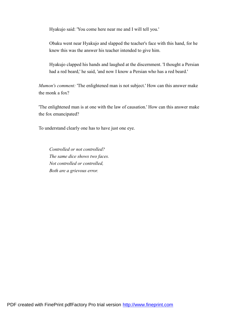Hyakujo said: 'You come here near me and I will tell you.'

Obaku went near Hyakujo and slapped the teacher's face with this hand, for he knew this was the answer his teacher intended to give him.

Hyakujo clapped his hands and laughed at the discernment. 'I thought a Persian had a red beard,' he said, 'and now I know a Persian who has a red beard.'

*Mumon's comment:* 'The enlightened man is not subject.' How can this answer make the monk a fox?

'The enlightened man is at one with the law of causation.' How can this answer make the fox emancipated?

To understand clearly one has to have just one eye.

*Controlled or not controlled? The same dice shows two faces. Not controlled or controlled, Both are a grievous error.*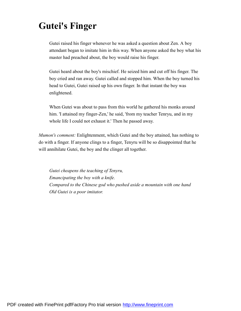### **Gutei's Finger**

Gutei raised his finger whenever he was asked a question about Zen. A boy attendant began to imitate him in this way. When anyone asked the boy what his master had preached about, the boy would raise his finger.

Gutei heard about the boy's mischief. He seized him and cut off his finger. The boy cried and ran away. Gutei called and stopped him. When the boy turned his head to Gutei, Gutei raised up his own finger. In that instant the boy was enlightened.

When Gutei was about to pass from this world he gathered his monks around him. 'I attained my finger-Zen,' he said, 'from my teacher Tenryu, and in my whole life I could not exhaust it.' Then he passed away.

*Mumon's comment:* Enlightenment, which Gutei and the boy attained, has nothing to do with a finger. If anyone clings to a finger, Tenyru will be so disappointed that he will annihilate Gutei, the boy and the clinger all together.

*Gutei cheapens the teaching of Tenyru, Emancipating the boy with a knife. Compared to the Chinese god who pushed aside a mountain with one hand Old Gutei is a poor imitator.*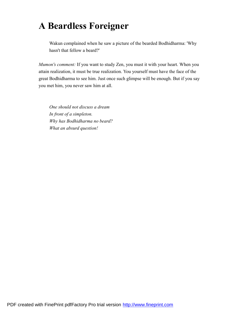#### **A Beardless Foreigner**

Wakun complained when he saw a picture of the bearded Bodhidharma: 'Why hasn't that fellow a beard?'

*Mumon's comment:* If you want to study Zen, you must it with your heart. When you attain realization, it must be true realization. You yourself must have the face of the great Bodhidharma to see him. Just once such glimpse will be enough. But if you say you met him, you never saw him at all.

*One should not discuss a dream In front of a simpleton. Why has Bodhidharma no beard? What an absurd question!*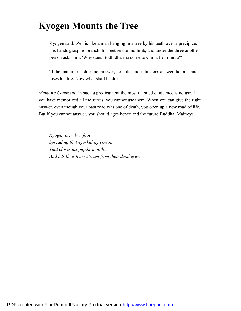#### **Kyogen Mounts the Tree**

Kyogen said: 'Zen is like a man hanging in a tree by his teeth over a precipice. His hands grasp no branch, his feet rest on no limb, and under the three another person asks him: 'Why does Bodhidharma come to China from India?'

'If the man in tree does not answer, he fails; and if he does answer, he falls and loses his life. Now what shall he do?'

*Mumon's Comment:* In such a predicament the most talented eloquence is no use. If you have memorized all the sutras, you cannot use them. When you can give the right answer, even though your past road was one of death, you open up a new road of life. But if you cannot answer, you should ages hence and the future Buddha, Maitreya.

*Kyogen is truly a fool Spreading that ego-killing poison That closes his pupils' mouths And lets their tears stream from their dead eyes.*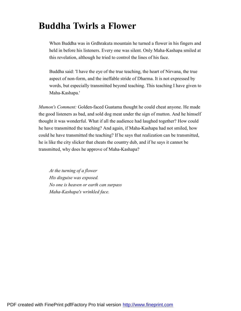#### **Buddha Twirls a Flower**

When Buddha was in Grdhrakuta mountain he turned a flower in his fingers and held in before his listeners. Every one was silent. Only Maha-Kashapa smiled at this revelation, although he tried to control the lines of his face.

Buddha said: 'I have the eye of the true teaching, the heart of Nirvana, the true aspect of non-form, and the ineffable stride of Dharma. It is not expressed by words, but especially transmitted beyond teaching. This teaching I have given to Maha-Kashapa.'

*Mumon's Comment:* Golden-faced Guatama thought he could cheat anyone. He made the good listeners as bad, and sold dog meat under the sign of mutton. And he himself thought it was wonderful. What if all the audience had laughed together? How could he have transmitted the teaching? And again, if Maha-Kashapa had not smiled, how could he have transmitted the teaching? If he says that realization can be transmitted, he is like the city slicker that cheats the country dub, and if he says it cannot be transmitted, why does he approve of Maha-Kashapa?

*At the turning of a flower His disguise was exposed. No one is heaven or earth can surpass Maha-Kashapa's wrinkled face.*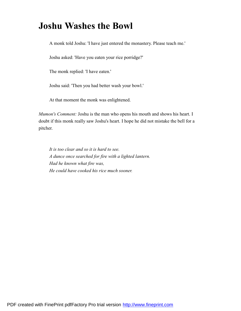#### **Joshu Washes the Bowl**

A monk told Joshu: 'I have just entered the monastery. Please teach me.'

Joshu asked: 'Have you eaten your rice porridge?'

The monk replied: 'I have eaten.'

Joshu said: 'Then you had better wash your bowl.'

At that moment the monk was enlightened.

*Mumon's Comment:* Joshu is the man who opens his mouth and shows his heart. I doubt if this monk really saw Joshu's heart. I hope he did not mistake the bell for a pitcher.

*It is too clear and so it is hard to see. A dunce once searched for fire with a lighted lantern. Had he known what fire was, He could have cooked his rice much sooner.*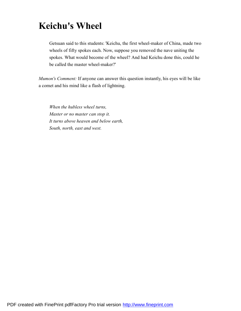#### **Keichu's Wheel**

Getsuan said to this students: 'Keichu, the first wheel-maker of China, made two wheels of fifty spokes each. Now, suppose you removed the nave uniting the spokes. What would become of the wheel? And had Keichu done this, could he be called the master wheel-maker?'

*Mumon's Comment:* If anyone can answer this question instantly, his eyes will be like a comet and his mind like a flash of lightning.

*When the hubless wheel turns, Master or no master can stop it. It turns above heaven and below earth, South, north, east and west.*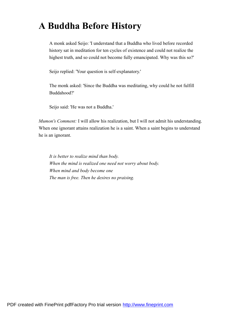#### **A Buddha Before History**

A monk asked Seijo: 'I understand that a Buddha who lived before recorded history sat in meditation for ten cycles of existence and could not realize the highest truth, and so could not become fully emancipated. Why was this so?'

Seijo replied: 'Your question is self-explanatory.'

The monk asked: 'Since the Buddha was meditating, why could he not fulfill Buddahood?'

Seijo said: 'He was not a Buddha.'

*Mumon's Comment:* I will allow his realization, but I will not admit his understanding. When one ignorant attains realization he is a saint. When a saint begins to understand he is an ignorant.

*It is better to realize mind than body. When the mind is realized one need not worry about body. When mind and body become one The man is free. Then he desires no praising.*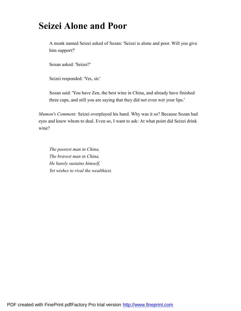#### **Seizei Alone and Poor**

A monk named Seizei asked of Sozan: 'Seizei is alone and poor. Will you give him support?'

Sozan asked: 'Seizei?'

Seizei responded: 'Yes, sir.'

Sozan said: 'You have Zen, the best wine in China, and already have finished three cups, and still you are saying that they did not even wet your lips.'

*Mumon's Comment:* Seizei overplayed his hand. Why was it so? Because Sozan had eyes and knew whom to deal. Even so, I want to ask: At what point did Seizei drink wine?

*The poorest man in China, The bravest man in China, He barely sustains himself, Yet wishes to rival the wealthiest.*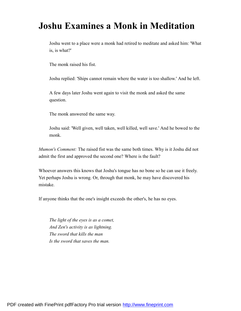#### **Joshu Examines a Monk in Meditation**

Joshu went to a place were a monk had retired to meditate and asked him: 'What is, is what?'

The monk raised his fist.

Joshu replied: 'Ships cannot remain where the water is too shallow.' And he left.

A few days later Joshu went again to visit the monk and asked the same question.

The monk answered the same way.

Joshu said: 'Well given, well taken, well killed, well save.' And he bowed to the monk.

*Mumon's Comment:* The raised fist was the same both times. Why is it Joshu did not admit the first and approved the second one? Where is the fault?

Whoever answers this knows that Joshu's tongue has no bone so he can use it freely. Yet perhaps Joshu is wrong. Or, through that monk, he may have discovered his mistake.

If anyone thinks that the one's insight exceeds the other's, he has no eyes.

*The light of the eyes is as a comet, And Zen's activity is as lightning. The sword that kills the man Is the sword that saves the man.*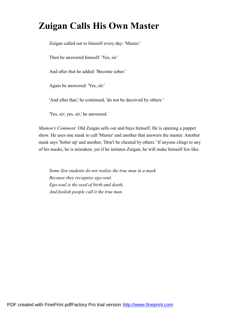#### **Zuigan Calls His Own Master**

Zuigan called out to himself every day: 'Master.'

Then he answered himself: 'Yes, sir.'

And after that he added: 'Become sober.'

Again he answered: 'Yes, sir.'

'And after that,' he continued, 'do not be deceived by others.'

'Yes, sir; yes, sir,' he answered.

*Mumon's Comment:* Old Zuigan sells out and buys himself. He is opening a puppet show. He uses one mask to call 'Master' and another that answers the master. Another mask says 'Sober up' and another, 'Don't be cheated by others.' If anyone clings to any of his masks, he is mistaken, yet if he imitates Zuigan, he will make himself fox-like.

*Some Zen students do not realize the true man in a mask Because they recognize ego-soul. Ego-soul is the seed of birth and death, And foolish people call it the true man.*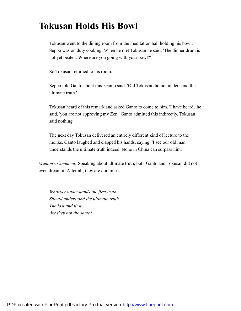#### **Tokusan Holds His Bowl**

Tokusan went to the dining room from the meditation hall holding his bowl. Seppo was on duty cooking. When he met Tokusan he said: 'The dinner drum is not yet beaten. Where are you going with your bowl?'

So Tokusan returned to his room.

Seppo told Ganto about this. Ganto said: 'Old Tokusan did not understand the ultimate truth.'

Tokusan heard of this remark and asked Ganto to come to him. 'I have heard,' he said, 'you are not approving my Zen.' Ganto admitted this indirectly. Tokusan said nothing.

The next day Tokusan delivered an entirely different kind of lecture to the monks. Ganto laughed and clapped his hands, saying: 'I see our old man understands the ultimate truth indeed. None in China can surpass him.'

*Mumon's Comment:* Speaking about ultimate truth, both Ganto and Tokusan did not even dream it. After all, they are dummies.

*Whoever understands the first truth Should understand the ultimate truth. The last and first, Are they not the same?*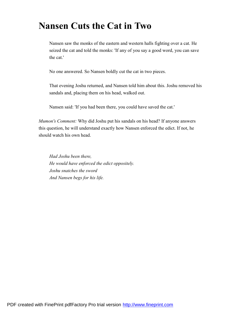#### **Nansen Cuts the Cat in Two**

Nansen saw the monks of the eastern and western halls fighting over a cat. He seized the cat and told the monks: 'If any of you say a good word, you can save the cat.'

No one answered. So Nansen boldly cut the cat in two pieces.

That evening Joshu returned, and Nansen told him about this. Joshu removed his sandals and, placing them on his head, walked out.

Nansen said: 'If you had been there, you could have saved the cat.'

*Mumon's Comment:* Why did Joshu put his sandals on his head? If anyone answers this question, he will understand exactly how Nansen enforced the edict. If not, he should watch his own head.

*Had Joshu been there, He would have enforced the edict oppositely. Joshu snatches the sword And Nansen begs for his life.*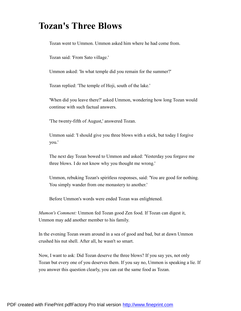#### **Tozan's Three Blows**

Tozan went to Ummon. Ummon asked him where he had come from.

Tozan said: 'From Sato village.'

Ummon asked: 'In what temple did you remain for the summer?'

Tozan replied: 'The temple of Hoji, south of the lake.'

'When did you leave there?' asked Ummon, wondering how long Tozan would continue with such factual answers.

'The twenty-fifth of August,' answered Tozan.

Ummon said: 'I should give you three blows with a stick, but today I forgive you.'

The next day Tozan bowed to Ummon and asked: 'Yesterday you forgave me three blows. I do not know why you thought me wrong.'

Ummon, rebuking Tozan's spiritless responses, said: 'You are good for nothing. You simply wander from one monastery to another.'

Before Ummon's words were ended Tozan was enlightened.

*Mumon's Comment:* Ummon fed Tozan good Zen food. If Tozan can digest it, Ummon may add another member to his family.

In the evening Tozan swam around in a sea of good and bad, but at dawn Ummon crushed his nut shell. After all, he wasn't so smart.

Now, I want to ask: Did Tozan deserve the three blows? If you say yes, not only Tozan but every one of you deserves them. If you say no, Ummon is speaking a lie. If you answer this question clearly, you can eat the same food as Tozan.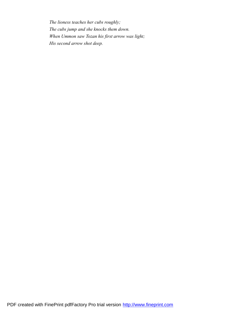*The lioness teaches her cubs roughly; The cubs jump and she knocks them down. When Ummon saw Tozan his first arrow was light; His second arrow shot deep.*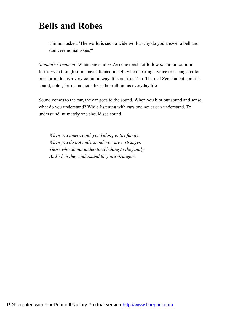#### **Bells and Robes**

Ummon asked: 'The world is such a wide world, why do you answer a bell and don ceremonial robes?'

*Mumon's Comment:* When one studies Zen one need not follow sound or color or form. Even though some have attained insight when hearing a voice or seeing a color or a form, this is a very common way. It is not true Zen. The real Zen student controls sound, color, form, and actualizes the truth in his everyday life.

Sound comes to the ear, the ear goes to the sound. When you blot out sound and sense, what do you understand? While listening with ears one never can understand. To understand intimately one should see sound.

*When you understand, you belong to the family; When you do not understand, you are a stranger. Those who do not understand belong to the family, And when they understand they are strangers.*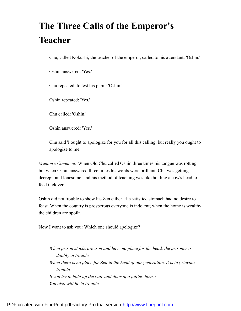# **The Three Calls of the Emperor's Teacher**

Chu, called Kokushi, the teacher of the emperor, called to his attendant: 'Oshin.'

Oshin answered: 'Yes.'

Chu repeated, to test his pupil: 'Oshin.'

Oshin repeated: 'Yes.'

Chu called: 'Oshin.'

Oshin answered: 'Yes.'

Chu said 'I ought to apologize for you for all this calling, but really you ought to apologize to me.'

*Mumon's Comment:* When Old Chu called Oshin three times his tongue was rotting, but when Oshin answered three times his words were brilliant. Chu was getting decrepit and lonesome, and his method of teaching was like holding a cow's head to feed it clover.

Oshin did not trouble to show his Zen either. His satisfied stomach had no desire to feast. When the country is prosperous everyone is indolent; when the home is wealthy the children are spoilt.

Now I want to ask you: Which one should apologize?

*When prison stocks are iron and have no place for the head, the prisoner is doubly in trouble. When there is no place for Zen in the head of our generation, it is in grievous trouble. If you try to hold up the gate and door of a falling house, You also will be in trouble.*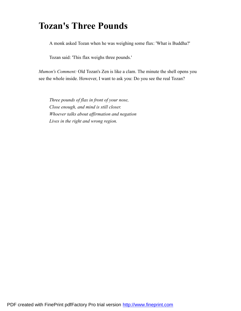#### **Tozan's Three Pounds**

A monk asked Tozan when he was weighing some flax: 'What is Buddha?'

Tozan said: 'This flax weighs three pounds.'

*Mumon's Comment:* Old Tozan's Zen is like a clam. The minute the shell opens you see the whole inside. However, I want to ask you: Do you see the real Tozan?

*Three pounds of flax in front of your nose, Close enough, and mind is still closer. Whoever talks about affirmation and negation Lives in the right and wrong region.*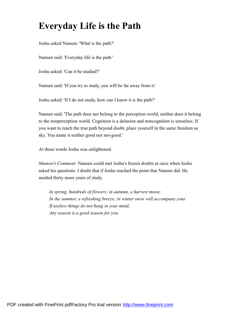#### **Everyday Life is the Path**

Joshu asked Nansen: 'What is the path?'

Nansen said: 'Everyday life is the path.'

Joshu asked: 'Can it be studied?'

Nansen said: 'If you try to study, you will be far away from it.'

Joshu asked: 'If I do not study, how can I know it is the path?'

Nansen said: 'The path does not belong to the perception world, neither does it belong to the nonperception world. Cognition is a delusion and noncognition is senseless. If you want to reach the true path beyond doubt, place yourself in the same freedom as sky. You name it neither good nor not-good.'

At these words Joshu was enlightened.

*Mumon's Comment:* Nansen could met Joshu's frozen doubts at once when Joshu asked his questions. I doubt that if Joshu reached the point that Nansen did. He needed thirty more years of study.

*In spring, hundreds of flowers; in autumn, a harvest moon; In the summer, a refreshing breeze; in winter snow will accompany your. If useless things do not hang in your mind, Any season is a good season for you.*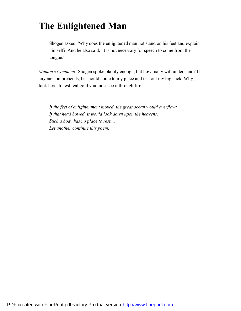#### **The Enlightened Man**

Shogen asked: 'Why does the enlightened man not stand on his feet and explain himself?' And he also said: 'It is not necessary for speech to come from the tongue.'

*Mumon's Comment:* Shogen spoke plainly enough, but how many will understand? If anyone comprehends, he should come to my place and test out my big stick. Why, look here, to test real gold you must see it through fire.

*If the feet of enlightenment moved, the great ocean would overflow; If that head bowed, it would look down upon the heavens. Such a body has no place to rest.... Let another continue this poem.*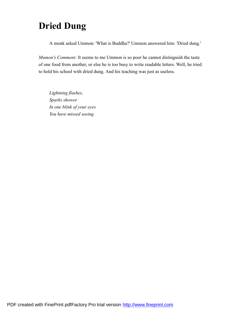### **Dried Dung**

A monk asked Ummon: 'What is Buddha?' Ummon answered him: 'Dried dung.'

*Mumon's Comment:* It seems to me Ummon is so poor he cannot distinguish the taste of one food from another, or else he is too busy to write readable letters. Well, he tried to hold his school with dried dung. And his teaching was just as useless.

*Lightning flashes, Sparks shower. In one blink of your eyes You have missed seeing.*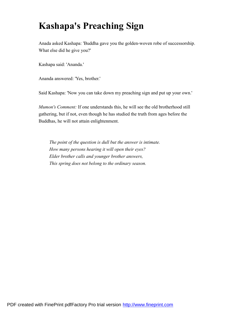#### **Kashapa's Preaching Sign**

Anada asked Kashapa: 'Buddha gave you the golden-woven robe of successorship. What else did he give you?'

Kashapa said: 'Ananda.'

Ananda answered: 'Yes, brother.'

Said Kashapa: 'Now you can take down my preaching sign and put up your own.'

*Mumon's Comment:* If one understands this, he will see the old brotherhood still gathering, but if not, even though he has studied the truth from ages before the Buddhas, he will not attain enlightenment.

*The point of the question is dull but the answer is intimate. How many persons hearing it will open their eyes? Elder brother calls and younger brother answers, This spring does not belong to the ordinary season.*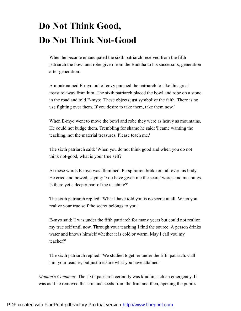# **Do Not Think Good, Do Not Think Not-Good**

When he became emancipated the sixth patriarch received from the fifth patriarch the bowl and robe given from the Buddha to his successors, generation after generation.

A monk named E-myo out of envy pursued the patriarch to take this great treasure away from him. The sixth patriarch placed the bowl and robe on a stone in the road and told E-myo: 'These objects just symbolize the faith. There is no use fighting over them. If you desire to take them, take them now.'

When E-myo went to move the bowl and robe they were as heavy as mountains. He could not budge them. Trembling for shame he said: 'I came wanting the teaching, not the material treasures. Please teach me.'

The sixth patriarch said: 'When you do not think good and when you do not think not-good, what is your true self?'

At these words E-myo was illumined. Perspiration broke out all over his body. He cried and bowed, saying: 'You have given me the secret words and meanings. Is there yet a deeper part of the teaching?'

The sixth patriarch replied: 'What I have told you is no secret at all. When you realize your true self the secret belongs to you.'

E-myo said: 'I was under the fifth patriarch for many years but could not realize my true self until now. Through your teaching I find the source. A person drinks water and knows himself whether it is cold or warm. May I call you my teacher?'

The sixth patriarch replied: 'We studied together under the fifth patriach. Call him your teacher, but just treasure what you have attained.'

*Mumon's Comment:* The sixth patriarch certainly was kind in such an emergency. If was as if he removed the skin and seeds from the fruit and then, opening the pupil's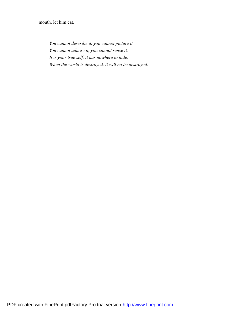mouth, let him eat.

*You cannot describe it, you cannot picture it, You cannot admire it, you cannot sense it. It is your true self, it has nowhere to hide. When the world is destroyed, it will no be destroyed.*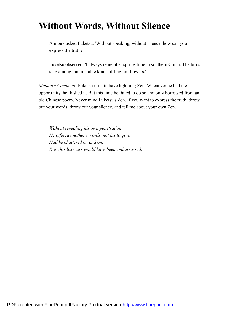#### **Without Words, Without Silence**

A monk asked Fuketsu: 'Without speaking, without silence, how can you express the truth?'

Fuketsu observed: 'I always remember spring-time in southern China. The birds sing among innumerable kinds of fragrant flowers.'

*Mumon's Comment:* Fuketsu used to have lightning Zen. Whenever he had the opportunity, he flashed it. But this time he failed to do so and only borrowed from an old Chinese poem. Never mind Fuketsu's Zen. If you want to express the truth, throw out your words, throw out your silence, and tell me about your own Zen.

*Without revealing his own penetration, He offered another's words, not his to give. Had he chattered on and on, Even his listeners would have been embarrassed.*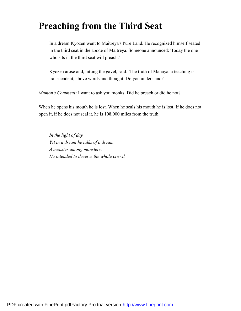#### **Preaching from the Third Seat**

In a dream Kyozen went to Maitreya's Pure Land. He recognized himself seated in the third seat in the abode of Maitreya. Someone announced: 'Today the one who sits in the third seat will preach.'

Kyozen arose and, hitting the gavel, said: 'The truth of Mahayana teaching is transcendent, above words and thought. Do you understand?'

*Mumon's Comment:* I want to ask you monks: Did he preach or did he not?

When he opens his mouth he is lost. When he seals his mouth he is lost. If he does not open it, if he does not seal it, he is 108,000 miles from the truth.

*In the light of day, Yet in a dream he talks of a dream. A monster among monsters, He intended to deceive the whole crowd.*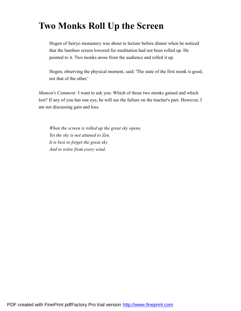#### **Two Monks Roll Up the Screen**

Hogen of Seiryo monastery was about to lecture before dinner when he noticed that the bamboo screen lowered for meditation had not been rolled up. He pointed to it. Two monks arose from the audience and rolled it up.

Hogen, observing the physical moment, said: 'The state of the first monk is good, not that of the other.'

*Mumon's Comment:* I want to ask you: Which of those two monks gained and which lost? If any of you has one eye, he will see the failure on the teacher's part. However, I am not discussing gain and loss.

*When the screen is rolled up the great sky opens, Yet the sky is not attuned to Zen. It is best to forget the great sky And to retire from every wind.*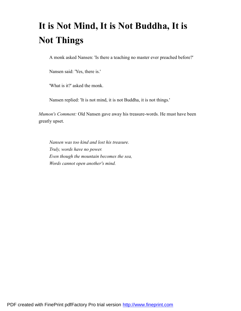# **It is Not Mind, It is Not Buddha, It is Not Things**

A monk asked Nansen: 'Is there a teaching no master ever preached before?'

Nansen said: 'Yes, there is.'

'What is it?' asked the monk.

Nansen replied: 'It is not mind, it is not Buddha, it is not things.'

*Mumon's Comment:* Old Nansen gave away his treasure-words. He must have been greatly upset.

*Nansen was too kind and lost his treasure. Truly, words have no power. Even though the mountain becomes the sea, Words cannot open another's mind.*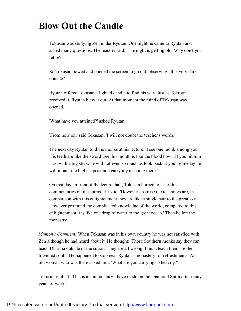#### **Blow Out the Candle**

Tokusan was studying Zen under Ryutan. One night he came to Ryutan and asked many questions. The teacher said: 'The night is getting old. Why don't you retire?'

So Tokusan bowed and opened the screen to go out, observing: 'It is very dark outside.'

Ryutan offered Tokusan a lighted candle to find his way. Just as Tokusan received it, Ryutan blew it out. At that moment the mind of Tokusan was opened.

'What have you attained?' asked Ryutan.

'From now on,' said Tokusan, 'I will not doubt the teacher's words.'

The next day Ryutan told the monks at his lecture: 'I see one monk among you. His teeth are like the sword tree, his mouth is like the blood bowl. If you hit him hard with a big stick, he will not even so much as look back at you. Someday he will mount the highest peak and carry my teaching there.'

On that day, in front of the lecture hall, Tokusan burned to ashes his commentaries on the sutras. He said: 'However abstruse the teachings are, in comparison with this enlightenment they are like a single hair to the great sky. However profound the complicated knowledge of the world, compared to this enlightenment it is like one drop of water to the great ocean.' Then he left the monastry.

*Mumon's Comment:* When Tokusan was in his own country he was not satisfied with Zen although he had heard about it. He thought: 'Those Southern monks say they can teach Dharma outside of the sutras. They are all wrong. I must teach them.' So he travelled south. He happened to stop near Ryutan's monastery for refreshments. An old woman who was there asked him: 'What are you carrying so heavily?'

Tokusan replied: 'This is a commentary I have made on the Diamond Sutra after many years of work.'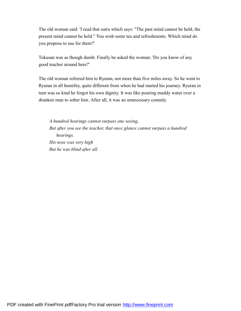The old woman said: 'I read that sutra which says: "The past mind cannot be held, the present mind cannot be held." You wish some tea and refreshments. Which mind do you propose to use for them?'

Tokusan was as though dumb. Finally he asked the woman: 'Do you know of any good teacher around here?'

The old woman referred him to Ryutan, not more than five miles away. So he went to Ryutan in all humility, quite different from when he had started his journey. Ryutan in turn was so kind he forgot his own dignity. It was like pouring muddy water over a drunken man to sober him. After all, it was an unnecessary comedy.

*A hundred hearings cannot surpass one seeing, But after you see the teacher, that once glance cannot surpass a hundred hearings. His nose was very high But he was blind after all.*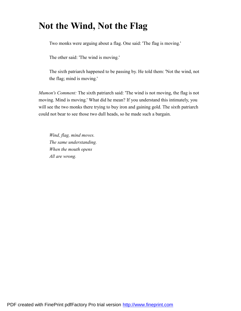#### **Not the Wind, Not the Flag**

Two monks were arguing about a flag. One said: 'The flag is moving.'

The other said: 'The wind is moving.'

The sixth patriarch happened to be passing by. He told them: 'Not the wind, not the flag; mind is moving.'

*Mumon's Comment:* The sixth patriarch said: 'The wind is not moving, the flag is not moving. Mind is moving.' What did he mean? If you understand this intimately, you will see the two monks there trying to buy iron and gaining gold. The sixth patriarch could not bear to see those two dull heads, so he made such a bargain.

*Wind, flag, mind moves. The same understanding. When the mouth opens All are wrong.*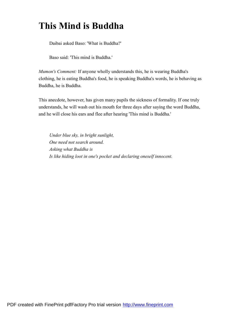#### **This Mind is Buddha**

Daibai asked Baso: 'What is Buddha?'

Baso said: 'This mind is Buddha.'

*Mumon's Comment:* If anyone wholly understands this, he is wearing Buddha's clothing, he is eating Buddha's food, he is speaking Buddha's words, he is behaving as Buddha, he is Buddha.

This anecdote, however, has given many pupils the sickness of formality. If one truly understands, he will wash out his mouth for three days after saying the word Buddha, and he will close his ears and flee after hearing 'This mind is Buddha.'

*Under blue sky, in bright sunlight, One need not search around. Asking what Buddha is Is like hiding loot in one's pocket and declaring oneself innocent.*